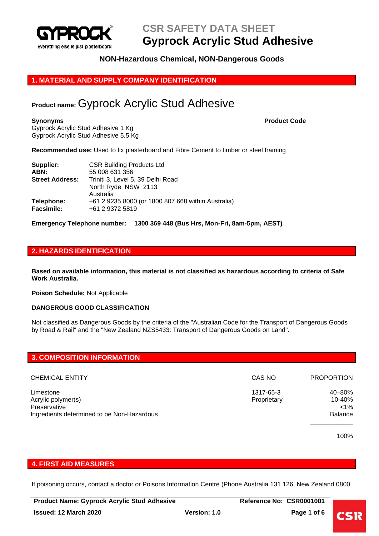

# **NON-Hazardous Chemical, NON-Dangerous Goods**

# **1. MATERIAL AND SUPPLY COMPANY IDENTIFICATION**

# **Product name:** Gyprock Acrylic Stud Adhesive

Gyprock Acrylic Stud Adhesive 1 Kg Gyprock Acrylic Stud Adhesive 5.5 Kg

#### **Synonyms Product Code**

**Recommended use:** Used to fix plasterboard and Fibre Cement to timber or steel framing

| Supplier:              | <b>CSR Building Products Ltd</b>                   |
|------------------------|----------------------------------------------------|
| ABN:                   | 55 008 631 356                                     |
| <b>Street Address:</b> | Triniti 3, Level 5, 39 Delhi Road                  |
|                        | North Ryde NSW 2113                                |
|                        | Australia                                          |
| Telephone:             | +61 2 9235 8000 (or 1800 807 668 within Australia) |
| <b>Facsimile:</b>      | +61 2 9372 5819                                    |

**Emergency Telephone number: 1300 369 448 (Bus Hrs, Mon-Fri, 8am-5pm, AEST)**

# **2. HAZARDS IDENTIFICATION**

**Based on available information, this material is not classified as hazardous according to criteria of Safe Work Australia.**

**Poison Schedule:** Not Applicable

#### **DANGEROUS GOOD CLASSIFICATION**

Not classified as Dangerous Goods by the criteria of the "Australian Code for the Transport of Dangerous Goods by Road & Rail" and the "New Zealand NZS5433: Transport of Dangerous Goods on Land".

| <b>3. COMPOSITION INFORMATION</b>          |             |                   |  |  |
|--------------------------------------------|-------------|-------------------|--|--|
|                                            |             |                   |  |  |
| <b>CHEMICAL ENTITY</b>                     | CAS NO      | <b>PROPORTION</b> |  |  |
| Limestone                                  | 1317-65-3   | 40-80%            |  |  |
| Acrylic polymer(s)                         | Proprietary | 10-40%            |  |  |
| Preservative                               |             | $< 1\%$           |  |  |
| Ingredients determined to be Non-Hazardous |             | <b>Balance</b>    |  |  |
|                                            |             |                   |  |  |

100%

#### **4. FIRST AID MEASURES**

If poisoning occurs, contact a doctor or Poisons Information Centre (Phone Australia 131 126, New Zealand 0800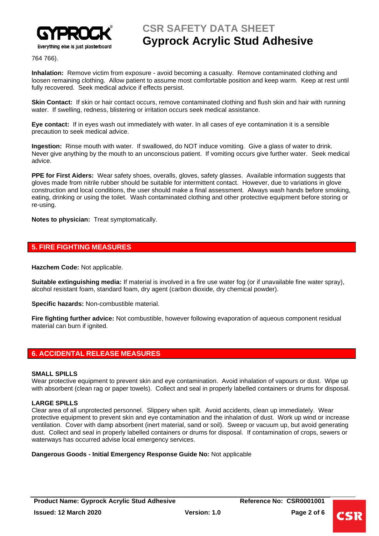

764 766).

**Inhalation:** Remove victim from exposure - avoid becoming a casualty. Remove contaminated clothing and loosen remaining clothing. Allow patient to assume most comfortable position and keep warm. Keep at rest until fully recovered. Seek medical advice if effects persist.

**Skin Contact:** If skin or hair contact occurs, remove contaminated clothing and flush skin and hair with running water. If swelling, redness, blistering or irritation occurs seek medical assistance.

**Eye contact:** If in eyes wash out immediately with water. In all cases of eye contamination it is a sensible precaution to seek medical advice.

**Ingestion:** Rinse mouth with water. If swallowed, do NOT induce vomiting. Give a glass of water to drink. Never give anything by the mouth to an unconscious patient. If vomiting occurs give further water. Seek medical advice.

**PPE for First Aiders:** Wear safety shoes, overalls, gloves, safety glasses. Available information suggests that gloves made from nitrile rubber should be suitable for intermittent contact. However, due to variations in glove construction and local conditions, the user should make a final assessment. Always wash hands before smoking, eating, drinking or using the toilet. Wash contaminated clothing and other protective equipment before storing or re-using.

**Notes to physician:** Treat symptomatically.

# **5. FIRE FIGHTING MEASURES**

**Hazchem Code:** Not applicable.

**Suitable extinguishing media:** If material is involved in a fire use water fog (or if unavailable fine water spray), alcohol resistant foam, standard foam, dry agent (carbon dioxide, dry chemical powder).

**Specific hazards:** Non-combustible material.

**Fire fighting further advice:** Not combustible, however following evaporation of aqueous component residual material can burn if ignited.

# **6. ACCIDENTAL RELEASE MEASURES**

#### **SMALL SPILLS**

Wear protective equipment to prevent skin and eye contamination. Avoid inhalation of vapours or dust. Wipe up with absorbent (clean rag or paper towels). Collect and seal in properly labelled containers or drums for disposal.

### **LARGE SPILLS**

Clear area of all unprotected personnel. Slippery when spilt. Avoid accidents, clean up immediately. Wear protective equipment to prevent skin and eye contamination and the inhalation of dust. Work up wind or increase ventilation. Cover with damp absorbent (inert material, sand or soil). Sweep or vacuum up, but avoid generating dust. Collect and seal in properly labelled containers or drums for disposal. If contamination of crops, sewers or waterways has occurred advise local emergency services.

**Dangerous Goods - Initial Emergency Response Guide No:** Not applicable

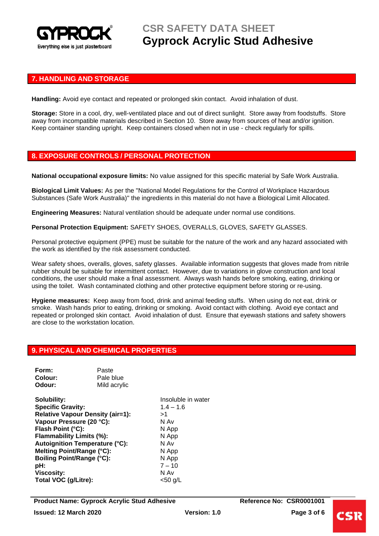

# **7. HANDLING AND STORAGE**

**Handling:** Avoid eye contact and repeated or prolonged skin contact. Avoid inhalation of dust.

**Storage:** Store in a cool, dry, well-ventilated place and out of direct sunlight. Store away from foodstuffs. Store away from incompatible materials described in Section 10. Store away from sources of heat and/or ignition. Keep container standing upright. Keep containers closed when not in use - check regularly for spills.

# **8. EXPOSURE CONTROLS / PERSONAL PROTECTION**

**National occupational exposure limits:** No value assigned for this specific material by Safe Work Australia.

**Biological Limit Values:** As per the "National Model Regulations for the Control of Workplace Hazardous Substances (Safe Work Australia)" the ingredients in this material do not have a Biological Limit Allocated.

**Engineering Measures:** Natural ventilation should be adequate under normal use conditions.

**Personal Protection Equipment:** SAFETY SHOES, OVERALLS, GLOVES, SAFETY GLASSES.

Personal protective equipment (PPE) must be suitable for the nature of the work and any hazard associated with the work as identified by the risk assessment conducted.

Wear safety shoes, overalls, gloves, safety glasses. Available information suggests that gloves made from nitrile rubber should be suitable for intermittent contact. However, due to variations in glove construction and local conditions, the user should make a final assessment. Always wash hands before smoking, eating, drinking or using the toilet. Wash contaminated clothing and other protective equipment before storing or re-using.

**Hygiene measures:** Keep away from food, drink and animal feeding stuffs. When using do not eat, drink or smoke. Wash hands prior to eating, drinking or smoking. Avoid contact with clothing. Avoid eye contact and repeated or prolonged skin contact. Avoid inhalation of dust. Ensure that eyewash stations and safety showers are close to the workstation location.

#### **9. PHYSICAL AND CHEMICAL PROPERTIES**

| Form:   | Paste        |
|---------|--------------|
| Colour: | Pale blue    |
| Odour:  | Mild acrylic |

**Solubility:** Insoluble in water **Specific Gravity:** 1.4 – 1.6 **Relative Vapour Density (air=1):** >1 **Vapour Pressure (20 °C):** N Av **Flash Point (°C):** N App **Flammability Limits (%):** N App **Autoignition Temperature (°C):** N Av **Melting Point/Range (°C):** N App **Boiling Point/Range (°C):** N App **pH:** 7 – 10 **Viscosity:** N Av Total VOC (g/Litre): <50 g/L

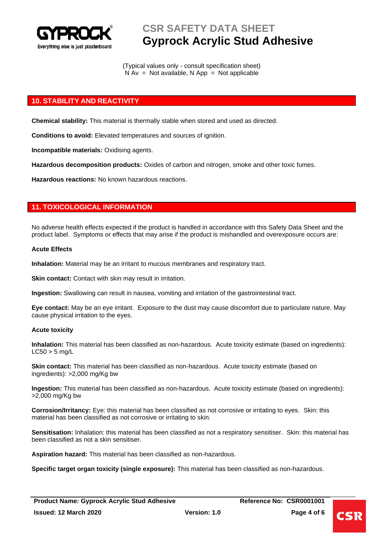

(Typical values only - consult specification sheet)  $N Av = Not available, N App = Not applicable$ 

# **10. STABILITY AND REACTIVITY**

**Chemical stability:** This material is thermally stable when stored and used as directed.

**Conditions to avoid:** Elevated temperatures and sources of ignition.

**Incompatible materials:** Oxidising agents.

**Hazardous decomposition products:** Oxides of carbon and nitrogen, smoke and other toxic fumes.

**Hazardous reactions:** No known hazardous reactions.

# **11. TOXICOLOGICAL INFORMATION**

No adverse health effects expected if the product is handled in accordance with this Safety Data Sheet and the product label. Symptoms or effects that may arise if the product is mishandled and overexposure occurs are:

#### **Acute Effects**

**Inhalation:** Material may be an irritant to mucous membranes and respiratory tract.

**Skin contact:** Contact with skin may result in irritation.

**Ingestion:** Swallowing can result in nausea, vomiting and irritation of the gastrointestinal tract.

**Eye contact:** May be an eye irritant. Exposure to the dust may cause discomfort due to particulate nature. May cause physical irritation to the eyes.

#### **Acute toxicity**

**Inhalation:** This material has been classified as non-hazardous. Acute toxicity estimate (based on ingredients):  $LC50 > 5$  mg/L

**Skin contact:** This material has been classified as non-hazardous. Acute toxicity estimate (based on ingredients): >2,000 mg/Kg bw

**Ingestion:** This material has been classified as non-hazardous. Acute toxicity estimate (based on ingredients): >2,000 mg/Kg bw

**Corrosion/Irritancy:** Eye: this material has been classified as not corrosive or irritating to eyes. Skin: this material has been classified as not corrosive or irritating to skin.

**Sensitisation:** Inhalation: this material has been classified as not a respiratory sensitiser. Skin: this material has been classified as not a skin sensitiser.

**Aspiration hazard:** This material has been classified as non-hazardous.

**Specific target organ toxicity (single exposure):** This material has been classified as non-hazardous.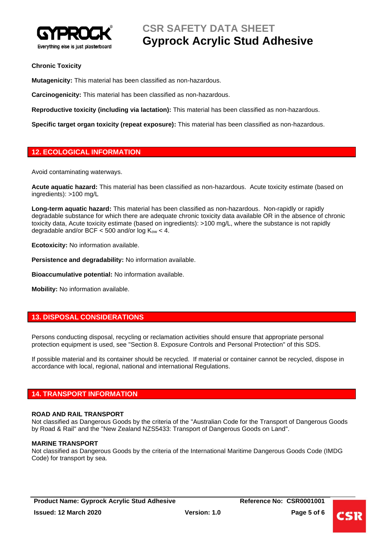

# **Chronic Toxicity**

**Mutagenicity:** This material has been classified as non-hazardous.

**Carcinogenicity:** This material has been classified as non-hazardous.

**Reproductive toxicity (including via lactation):** This material has been classified as non-hazardous.

**Specific target organ toxicity (repeat exposure):** This material has been classified as non-hazardous.

# **12. ECOLOGICAL INFORMATION**

Avoid contaminating waterways.

**Acute aquatic hazard:** This material has been classified as non-hazardous. Acute toxicity estimate (based on ingredients): >100 mg/L

**Long-term aquatic hazard:** This material has been classified as non-hazardous. Non-rapidly or rapidly degradable substance for which there are adequate chronic toxicity data available OR in the absence of chronic toxicity data, Acute toxicity estimate (based on ingredients): >100 mg/L, where the substance is not rapidly degradable and/or BCF  $<$  500 and/or log  $K_{ow}$   $<$  4.

**Ecotoxicity:** No information available.

**Persistence and degradability:** No information available.

**Bioaccumulative potential:** No information available.

**Mobility:** No information available.

# **13. DISPOSAL CONSIDERATIONS**

Persons conducting disposal, recycling or reclamation activities should ensure that appropriate personal protection equipment is used, see "Section 8. Exposure Controls and Personal Protection" of this SDS.

If possible material and its container should be recycled. If material or container cannot be recycled, dispose in accordance with local, regional, national and international Regulations.

# **14. TRANSPORT INFORMATION**

#### **ROAD AND RAIL TRANSPORT**

Not classified as Dangerous Goods by the criteria of the "Australian Code for the Transport of Dangerous Goods by Road & Rail" and the "New Zealand NZS5433: Transport of Dangerous Goods on Land".

#### **MARINE TRANSPORT**

Not classified as Dangerous Goods by the criteria of the International Maritime Dangerous Goods Code (IMDG Code) for transport by sea.